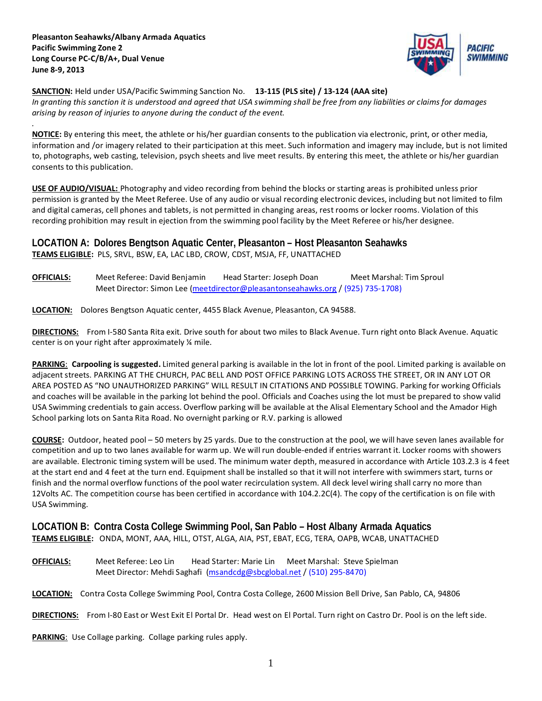*.*



**SANCTION:** Held under USA/Pacific Swimming Sanction No. **13-115 (PLS site) / 13-124 (AAA site)** *In granting this sanction it is understood and agreed that USA swimming shall be free from any liabilities or claims for damages arising by reason of injuries to anyone during the conduct of the event.*

**NOTICE:** By entering this meet, the athlete or his/her guardian consents to the publication via electronic, print, or other media, information and /or imagery related to their participation at this meet. Such information and imagery may include, but is not limited to, photographs, web casting, television, psych sheets and live meet results. By entering this meet, the athlete or his/her guardian consents to this publication.

**USE OF AUDIO/VISUAL:** Photography and video recording from behind the blocks or starting areas is prohibited unless prior permission is granted by the Meet Referee. Use of any audio or visual recording electronic devices, including but not limited to film and digital cameras, cell phones and tablets, is not permitted in changing areas, rest rooms or locker rooms. Violation of this recording prohibition may result in ejection from the swimming pool facility by the Meet Referee or his/her designee.

# **LOCATION A: Dolores Bengtson Aquatic Center, Pleasanton – Host Pleasanton Seahawks TEAMS ELIGIBLE:** PLS, SRVL, BSW, EA, LAC LBD, CROW, CDST, MSJA, FF, UNATTACHED

**OFFICIALS:** Meet Referee: David Benjamin Head Starter: Joseph Doan Meet Marshal: Tim Sproul Meet Director: Simon Lee [\(meetdirector@pleasantonseahawks.org](mailto:meetdirector@pleasantonseahawks.org) / (925) 735-1708)

**LOCATION:** Dolores Bengtson Aquatic center, 4455 Black Avenue, Pleasanton, CA 94588.

**DIRECTIONS:** From I-580 Santa Rita exit. Drive south for about two miles to Black Avenue. Turn right onto Black Avenue. Aquatic center is on your right after approximately ¼ mile.

**PARKING**: **Carpooling is suggested.** Limited general parking is available in the lot in front of the pool. Limited parking is available on adjacent streets. PARKING AT THE CHURCH, PAC BELL AND POST OFFICE PARKING LOTS ACROSS THE STREET, OR IN ANY LOT OR AREA POSTED AS "NO UNAUTHORIZED PARKING" WILL RESULT IN CITATIONS AND POSSIBLE TOWING. Parking for working Officials and coaches will be available in the parking lot behind the pool. Officials and Coaches using the lot must be prepared to show valid USA Swimming credentials to gain access. Overflow parking will be available at the Alisal Elementary School and the Amador High School parking lots on Santa Rita Road. No overnight parking or R.V. parking is allowed

**COURSE:** Outdoor, heated pool – 50 meters by 25 yards. Due to the construction at the pool, we will have seven lanes available for competition and up to two lanes available for warm up. We will run double-ended if entries warrant it. Locker rooms with showers are available. Electronic timing system will be used. The minimum water depth, measured in accordance with Article 103.2.3 is 4 feet at the start end and 4 feet at the turn end. Equipment shall be installed so that it will not interfere with swimmers start, turns or finish and the normal overflow functions of the pool water recirculation system. All deck level wiring shall carry no more than 12Volts AC. The competition course has been certified in accordance with 104.2.2C(4). The copy of the certification is on file with USA Swimming.

## **LOCATION B: Contra Costa College Swimming Pool, San Pablo – Host Albany Armada Aquatics TEAMS ELIGIBLE:** ONDA, MONT, AAA, HILL, OTST, ALGA, AIA, PST, EBAT, ECG, TERA, OAPB, WCAB, UNATTACHED

**OFFICIALS:** Meet Referee: Leo Lin Head Starter: Marie Lin Meet Marshal: Steve Spielman Meet Director: Mehdi Saghafi [\(msandcdg@sbcglobal.net](mailto:msandcdg@sbcglobal.net) / (510) 295-8470)

**LOCATION:** Contra Costa College Swimming Pool, Contra Costa College, 2600 Mission Bell Drive, San Pablo, CA, 94806

**DIRECTIONS:** From I-80 East or West Exit El Portal Dr. Head west on El Portal. Turn right on Castro Dr. Pool is on the left side.

**PARKING:** Use Collage parking. Collage parking rules apply.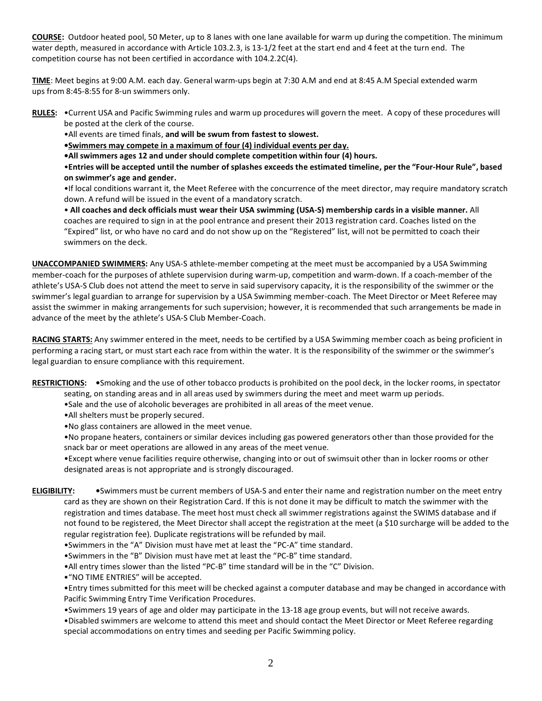**COURSE:** Outdoor heated pool, 50 Meter, up to 8 lanes with one lane available for warm up during the competition. The minimum water depth, measured in accordance with Article 103.2.3, is 13-1/2 feet at the start end and 4 feet at the turn end. The competition course has not been certified in accordance with 104.2.2C(4).

**TIME**: Meet begins at 9:00 A.M. each day. General warm-ups begin at 7:30 A.M and end at 8:45 A.M Special extended warm ups from 8:45-8:55 for 8-un swimmers only.

**RULES:** •Current USA and Pacific Swimming rules and warm up procedures will govern the meet. A copy of these procedures will be posted at the clerk of the course.

•All events are timed finals, **and will be swum from fastest to slowest.** 

**•Swimmers may compete in a maximum of four (4) individual events per day.**

**•All swimmers ages 12 and under should complete competition within four (4) hours.**

•**Entries will be accepted until the number of splashes exceeds the estimated timeline, per the "Four-Hour Rule", based on swimmer's age and gender.**

•If local conditions warrant it, the Meet Referee with the concurrence of the meet director, may require mandatory scratch down. A refund will be issued in the event of a mandatory scratch.

• **All coaches and deck officials must wear their USA swimming (USA-S) membership cards in a visible manner.** All coaches are required to sign in at the pool entrance and present their 2013 registration card. Coaches listed on the "Expired" list, or who have no card and do not show up on the "Registered" list, will not be permitted to coach their swimmers on the deck.

**UNACCOMPANIED SWIMMERS:** Any USA-S athlete-member competing at the meet must be accompanied by a USA Swimming member-coach for the purposes of athlete supervision during warm-up, competition and warm-down. If a coach-member of the athlete's USA-S Club does not attend the meet to serve in said supervisory capacity, it is the responsibility of the swimmer or the swimmer's legal guardian to arrange for supervision by a USA Swimming member-coach. The Meet Director or Meet Referee may assist the swimmer in making arrangements for such supervision; however, it is recommended that such arrangements be made in advance of the meet by the athlete's USA-S Club Member-Coach.

**RACING STARTS:** Any swimmer entered in the meet, needs to be certified by a USA Swimming member coach as being proficient in performing a racing start, or must start each race from within the water. It is the responsibility of the swimmer or the swimmer's legal guardian to ensure compliance with this requirement.

**RESTRICTIONS: •**Smoking and the use of other tobacco products is prohibited on the pool deck, in the locker rooms, in spectator

- seating, on standing areas and in all areas used by swimmers during the meet and meet warm up periods.
- •Sale and the use of alcoholic beverages are prohibited in all areas of the meet venue.
- •All shelters must be properly secured.
- •No glass containers are allowed in the meet venue.

•No propane heaters, containers or similar devices including gas powered generators other than those provided for the snack bar or meet operations are allowed in any areas of the meet venue.

•Except where venue facilities require otherwise, changing into or out of swimsuit other than in locker rooms or other designated areas is not appropriate and is strongly discouraged.

**ELIGIBILITY: •**Swimmers must be current members of USA-S and enter their name and registration number on the meet entry card as they are shown on their Registration Card. If this is not done it may be difficult to match the swimmer with the registration and times database. The meet host must check all swimmer registrations against the SWIMS database and if not found to be registered, the Meet Director shall accept the registration at the meet (a \$10 surcharge will be added to the regular registration fee). Duplicate registrations will be refunded by mail.

- •Swimmers in the "A" Division must have met at least the "PC-A" time standard.
- •Swimmers in the "B" Division must have met at least the "PC-B" time standard.
- •All entry times slower than the listed "PC-B" time standard will be in the "C" Division.
- •"NO TIME ENTRIES" will be accepted.

•Entry times submitted for this meet will be checked against a computer database and may be changed in accordance with Pacific Swimming Entry Time Verification Procedures.

•Swimmers 19 years of age and older may participate in the 13-18 age group events, but will not receive awards.

•Disabled swimmers are welcome to attend this meet and should contact the Meet Director or Meet Referee regarding special accommodations on entry times and seeding per Pacific Swimming policy.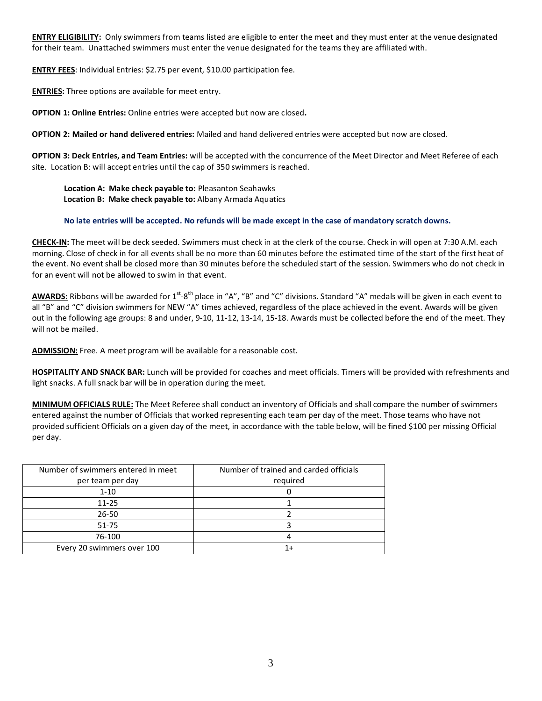**ENTRY ELIGIBILITY:** Only swimmers from teams listed are eligible to enter the meet and they must enter at the venue designated for their team. Unattached swimmers must enter the venue designated for the teams they are affiliated with.

**ENTRY FEES**: Individual Entries: \$2.75 per event, \$10.00 participation fee.

**ENTRIES:** Three options are available for meet entry.

**OPTION 1: Online Entries:** Online entries were accepted but now are closed**.**

**OPTION 2: Mailed or hand delivered entries:** Mailed and hand delivered entries were accepted but now are closed.

**OPTION 3: Deck Entries, and Team Entries:** will be accepted with the concurrence of the Meet Director and Meet Referee of each site. Location B: will accept entries until the cap of 350 swimmers is reached.

**Location A: Make check payable to:** Pleasanton Seahawks  **Location B: Make check payable to:** Albany Armada Aquatics

### **No late entries will be accepted. No refunds will be made except in the case of mandatory scratch downs.**

**CHECK-IN:** The meet will be deck seeded. Swimmers must check in at the clerk of the course. Check in will open at 7:30 A.M. each morning. Close of check in for all events shall be no more than 60 minutes before the estimated time of the start of the first heat of the event. No event shall be closed more than 30 minutes before the scheduled start of the session. Swimmers who do not check in for an event will not be allowed to swim in that event.

AWARDS: Ribbons will be awarded for 1<sup>st</sup>-8<sup>th</sup> place in "A", "B" and "C" divisions. Standard "A" medals will be given in each event to all "B" and "C" division swimmers for NEW "A" times achieved, regardless of the place achieved in the event. Awards will be given out in the following age groups: 8 and under, 9-10, 11-12, 13-14, 15-18. Awards must be collected before the end of the meet. They will not be mailed.

**ADMISSION:** Free. A meet program will be available for a reasonable cost.

**HOSPITALITY AND SNACK BAR:** Lunch will be provided for coaches and meet officials. Timers will be provided with refreshments and light snacks. A full snack bar will be in operation during the meet.

**MINIMUM OFFICIALS RULE:** The Meet Referee shall conduct an inventory of Officials and shall compare the number of swimmers entered against the number of Officials that worked representing each team per day of the meet. Those teams who have not provided sufficient Officials on a given day of the meet, in accordance with the table below, will be fined \$100 per missing Official per day.

| Number of swimmers entered in meet | Number of trained and carded officials |
|------------------------------------|----------------------------------------|
| per team per day                   | required                               |
| $1 - 10$                           |                                        |
| $11 - 25$                          |                                        |
| $26 - 50$                          |                                        |
| 51-75                              |                                        |
| 76-100                             |                                        |
| Every 20 swimmers over 100         |                                        |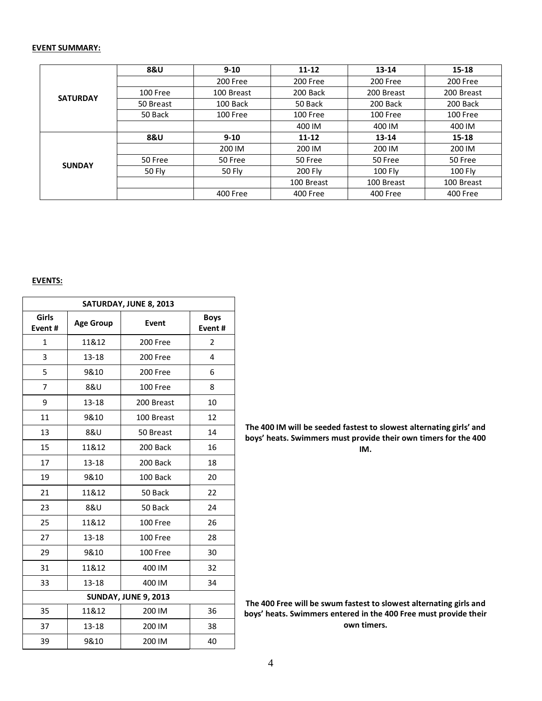#### **EVENT SUMMARY:**

|                 | <b>8&amp;U</b> | $9 - 10$   | $11 - 12$                                | 13-14      | $15 - 18$                                                                                          |
|-----------------|----------------|------------|------------------------------------------|------------|----------------------------------------------------------------------------------------------------|
|                 |                | 200 Free   | 200 Free                                 | 200 Free   | 200 Free                                                                                           |
| <b>SATURDAY</b> | 100 Free       | 100 Breast | 200 Back                                 | 200 Breast | 200 Breast                                                                                         |
|                 | 50 Breast      | 100 Back   | 50 Back                                  | 200 Back   | 200 Back<br>100 Free<br>400 IM<br>$15 - 18$<br>13-14<br>200 IM<br>50 Free<br>100 Fly<br>100 Breast |
|                 | 50 Back        | 100 Free   | 100 Free                                 | 100 Free   |                                                                                                    |
| <b>8&amp;U</b>  |                | 400 IM     | 400 IM                                   |            |                                                                                                    |
|                 |                | $9 - 10$   | $11 - 12$                                |            |                                                                                                    |
|                 |                | 200 IM     | 200 IM                                   | 200 IM     | 400 Free                                                                                           |
| <b>SUNDAY</b>   | 50 Free        | 50 Free    | 50 Free<br>50 Free<br>200 Fly<br>100 Fly |            |                                                                                                    |
|                 | 50 Fly         | 50 Fly     |                                          |            |                                                                                                    |
|                 |                |            | 100 Breast                               | 100 Breast |                                                                                                    |
|                 |                | 400 Free   | 400 Free                                 | 400 Free   |                                                                                                    |

#### **EVENTS:**

| SATURDAY, JUNE 8, 2013 |                  |                             |                       |  |  |  |  |  |  |
|------------------------|------------------|-----------------------------|-----------------------|--|--|--|--|--|--|
| Girls<br>Event#        | <b>Age Group</b> | Event                       | <b>Boys</b><br>Event# |  |  |  |  |  |  |
| $\mathbf{1}$           | 11&12            | 200 Free                    | $\overline{2}$        |  |  |  |  |  |  |
| 3                      | 13-18            | 200 Free                    | 4                     |  |  |  |  |  |  |
| 5                      | 9&10             | 200 Free                    | 6                     |  |  |  |  |  |  |
| 7                      | 8&U              | 100 Free                    | 8                     |  |  |  |  |  |  |
| 9                      | 13-18            | 200 Breast                  | 10                    |  |  |  |  |  |  |
| 11                     | 9&10             | 100 Breast                  | 12                    |  |  |  |  |  |  |
| 13                     | 8&U              | 50 Breast                   | 14                    |  |  |  |  |  |  |
| 15                     | 11&12            | 200 Back                    | 16                    |  |  |  |  |  |  |
| 17                     | 13-18            | 200 Back                    | 18                    |  |  |  |  |  |  |
| 19                     | 9&10             | 100 Back                    | 20                    |  |  |  |  |  |  |
| 21                     | 11&12            | 50 Back                     | 22                    |  |  |  |  |  |  |
| 23                     | 8&U              | 50 Back                     | 24                    |  |  |  |  |  |  |
| 25                     | 11&12            | 100 Free                    | 26                    |  |  |  |  |  |  |
| 27                     | 13-18            | 100 Free                    | 28                    |  |  |  |  |  |  |
| 29                     | 9&10             | 100 Free                    | 30                    |  |  |  |  |  |  |
| 31                     | 11&12            | 400 IM                      | 32                    |  |  |  |  |  |  |
| 33                     | $13 - 18$        | 400 IM                      | 34                    |  |  |  |  |  |  |
|                        |                  | <b>SUNDAY, JUNE 9, 2013</b> |                       |  |  |  |  |  |  |
| 35                     | 200 IM           | 36                          |                       |  |  |  |  |  |  |
| 37                     | $13 - 18$        | 200 IM                      | 38                    |  |  |  |  |  |  |
| 39                     | 9&10             | 200 IM                      | 40                    |  |  |  |  |  |  |

**The 400 IM will be seeded fastest to slowest alternating girls' and boys' heats. Swimmers must provide their own timers for the 400 IM.**

The 400 Free will be swum fastest to slowest alternating girls and **boys' heats. Swimmers entered in the 400 Free must provide their own timers.**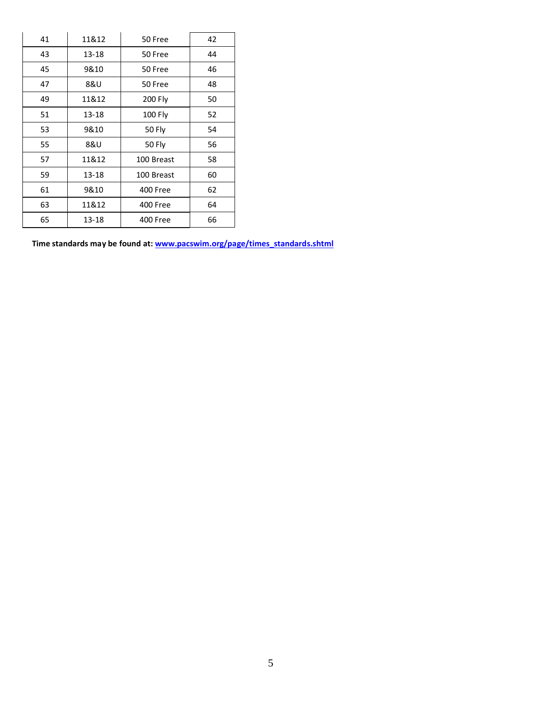| 41 | 11&12 | 50 Free    | 42 |  |  |
|----|-------|------------|----|--|--|
| 43 | 13-18 | 50 Free    | 44 |  |  |
| 45 | 9&10  | 50 Free    | 46 |  |  |
| 47 | 8&U   | 50 Free    | 48 |  |  |
| 49 | 11&12 | 200 Fly    | 50 |  |  |
| 51 | 13-18 | 100 Fly    | 52 |  |  |
| 53 | 9&10  | 50 Fly     | 54 |  |  |
| 55 | 8&U   | 50 Fly     | 56 |  |  |
| 57 | 11&12 | 100 Breast | 58 |  |  |
| 59 | 13-18 | 100 Breast | 60 |  |  |
| 61 | 9&10  | 400 Free   | 62 |  |  |
| 63 | 11&12 | 400 Free   | 64 |  |  |
| 65 | 13-18 | 400 Free   | 66 |  |  |

**Time standards may be found at: [www.pacswim.org/page/times\\_standards.shtml](http://www.pacswim.org/page/times_standards.shtml)**